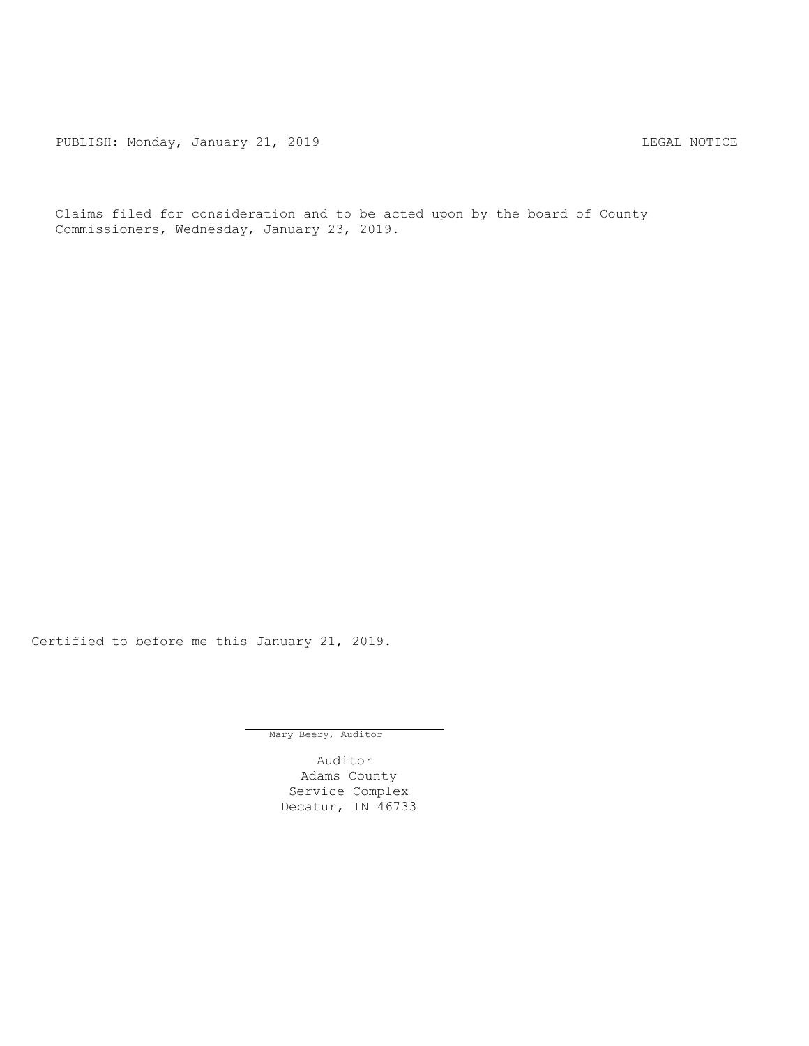PUBLISH: Monday, January 21, 2019 CHANGER CONSTRUCTER REGAL NOTICE

Claims filed for consideration and to be acted upon by the board of County Commissioners, Wednesday, January 23, 2019.

Certified to before me this January 21, 2019.

Mary Beery, Auditor

Auditor Adams County Service Complex Decatur, IN 46733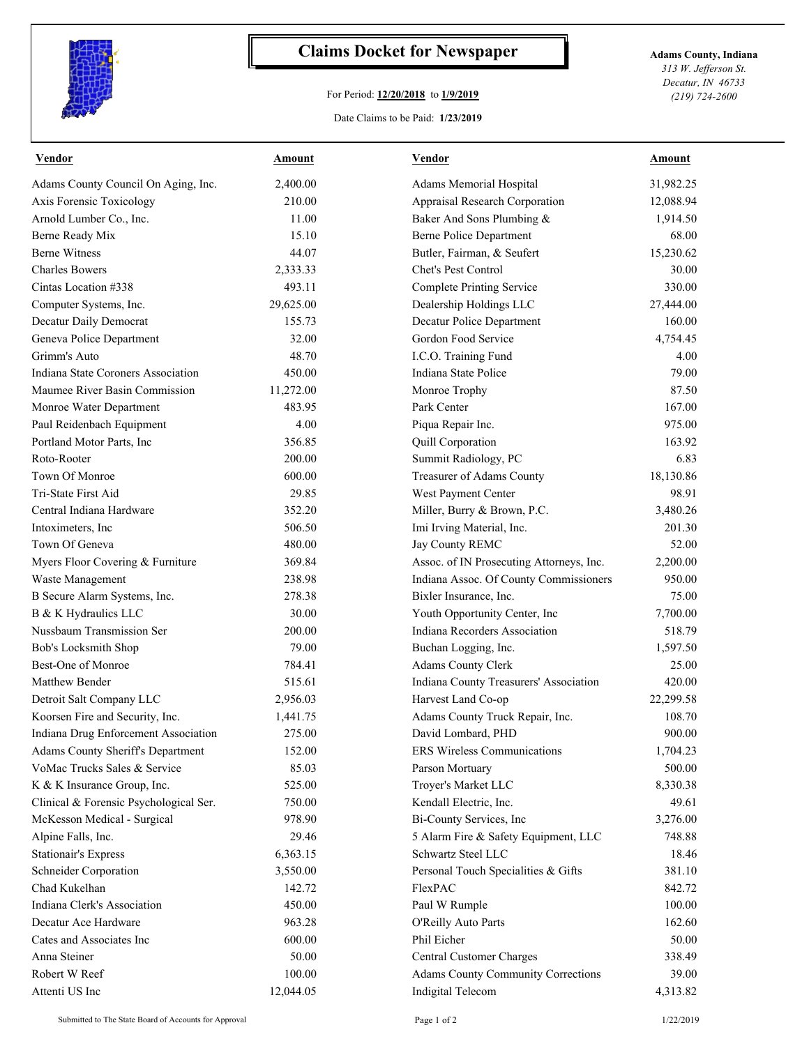

## **Claims Docket for Newspaper Adams County, Indiana**

## For Period: **12/20/2018** to **1/9/2019**

*313 W. Jefferson St. Decatur, IN 46733 (219) 724-2600*

## Date Claims to be Paid: **1/23/2019**

| <b>Vendor</b>                          | Amount    | Vendor                                   | <b>Amount</b> |
|----------------------------------------|-----------|------------------------------------------|---------------|
| Adams County Council On Aging, Inc.    | 2,400.00  | Adams Memorial Hospital                  | 31,982.25     |
| Axis Forensic Toxicology               | 210.00    | Appraisal Research Corporation           | 12,088.94     |
| Arnold Lumber Co., Inc.                | 11.00     | Baker And Sons Plumbing &                | 1,914.50      |
| Berne Ready Mix                        | 15.10     | <b>Berne Police Department</b>           | 68.00         |
| <b>Berne Witness</b>                   | 44.07     | Butler, Fairman, & Seufert               | 15,230.62     |
| <b>Charles Bowers</b>                  | 2,333.33  | Chet's Pest Control                      | 30.00         |
| Cintas Location #338                   | 493.11    | <b>Complete Printing Service</b>         | 330.00        |
| Computer Systems, Inc.                 | 29,625.00 | Dealership Holdings LLC                  | 27,444.00     |
| Decatur Daily Democrat                 | 155.73    | Decatur Police Department                | 160.00        |
| Geneva Police Department               | 32.00     | Gordon Food Service                      | 4,754.45      |
| Grimm's Auto                           | 48.70     | I.C.O. Training Fund                     | 4.00          |
| Indiana State Coroners Association     | 450.00    | Indiana State Police                     | 79.00         |
| Maumee River Basin Commission          | 11,272.00 | Monroe Trophy                            | 87.50         |
| Monroe Water Department                | 483.95    | Park Center                              | 167.00        |
| Paul Reidenbach Equipment              | 4.00      | Piqua Repair Inc.                        | 975.00        |
| Portland Motor Parts, Inc              | 356.85    | Quill Corporation                        | 163.92        |
| Roto-Rooter                            | 200.00    | Summit Radiology, PC                     | 6.83          |
| Town Of Monroe                         | 600.00    | Treasurer of Adams County                | 18,130.86     |
| Tri-State First Aid                    | 29.85     | West Payment Center                      | 98.91         |
| Central Indiana Hardware               | 352.20    | Miller, Burry & Brown, P.C.              | 3,480.26      |
| Intoximeters, Inc.                     | 506.50    | Imi Irving Material, Inc.                | 201.30        |
| Town Of Geneva                         | 480.00    | Jay County REMC                          | 52.00         |
| Myers Floor Covering & Furniture       | 369.84    | Assoc. of IN Prosecuting Attorneys, Inc. | 2,200.00      |
| Waste Management                       | 238.98    | Indiana Assoc. Of County Commissioners   | 950.00        |
| B Secure Alarm Systems, Inc.           | 278.38    | Bixler Insurance, Inc.                   | 75.00         |
| B & K Hydraulics LLC                   | 30.00     | Youth Opportunity Center, Inc            | 7,700.00      |
| Nussbaum Transmission Ser              | 200.00    | Indiana Recorders Association            | 518.79        |
| Bob's Locksmith Shop                   | 79.00     | Buchan Logging, Inc.                     | 1,597.50      |
| Best-One of Monroe                     | 784.41    | <b>Adams County Clerk</b>                | 25.00         |
| Matthew Bender                         | 515.61    | Indiana County Treasurers' Association   | 420.00        |
| Detroit Salt Company LLC               | 2,956.03  | Harvest Land Co-op                       | 22,299.58     |
| Koorsen Fire and Security, Inc.        | 1,441.75  | Adams County Truck Repair, Inc.          | 108.70        |
| Indiana Drug Enforcement Association   | 275.00    | David Lombard, PHD                       | 900.00        |
| Adams County Sheriff's Department      | 152.00    | ERS Wireless Communications              | 1,704.23      |
| VoMac Trucks Sales & Service           | 85.03     | Parson Mortuary                          | 500.00        |
| K & K Insurance Group, Inc.            | 525.00    | Troyer's Market LLC                      | 8,330.38      |
| Clinical & Forensic Psychological Ser. | 750.00    | Kendall Electric, Inc.                   | 49.61         |
| McKesson Medical - Surgical            | 978.90    | Bi-County Services, Inc                  | 3,276.00      |
| Alpine Falls, Inc.                     | 29.46     | 5 Alarm Fire & Safety Equipment, LLC     | 748.88        |
| <b>Stationair's Express</b>            | 6,363.15  | Schwartz Steel LLC                       | 18.46         |
| Schneider Corporation                  | 3,550.00  | Personal Touch Specialities & Gifts      | 381.10        |
| Chad Kukelhan                          | 142.72    | FlexPAC                                  | 842.72        |
| Indiana Clerk's Association            | 450.00    | Paul W Rumple                            | 100.00        |
| Decatur Ace Hardware                   | 963.28    | O'Reilly Auto Parts                      | 162.60        |
| Cates and Associates Inc               | 600.00    | Phil Eicher                              | 50.00         |
| Anna Steiner                           | 50.00     | Central Customer Charges                 | 338.49        |
| Robert W Reef                          | 100.00    | Adams County Community Corrections       | 39.00         |
| Attenti US Inc                         | 12,044.05 | Indigital Telecom                        | 4,313.82      |